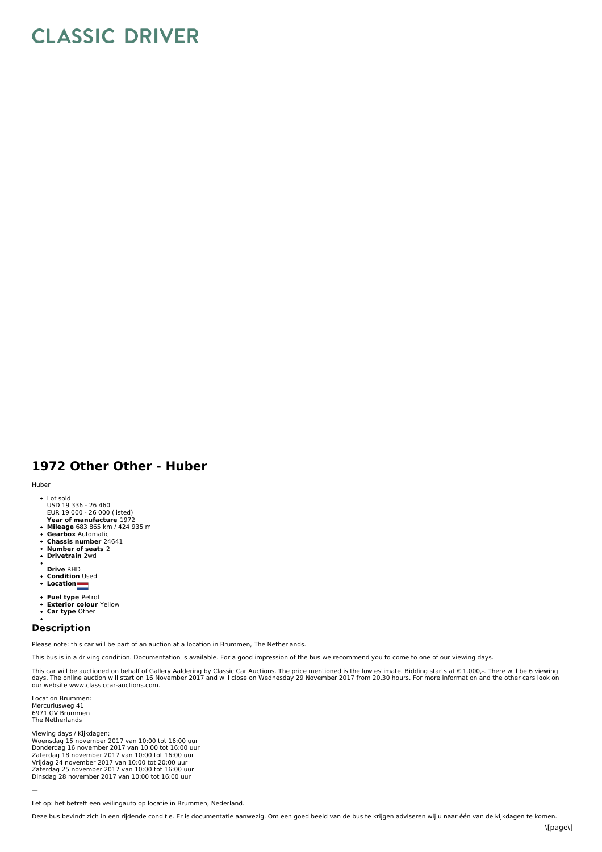## **CLASSIC DRIVER**

## **1972 Other Other - Huber**

## Huber

- Lot sold USD 19 336 - 26 460
- **E**UR 19 000 26 000 (listed)<br>**Year of manufacture** 1972
- 
- **Mileage** 683 865 km / 424 935 mi **Gearbox** Automatic
- 
- **Chassis number** 24641 **Number of seats** 2
- **Drivetrain** 2wd
- **Drive** RHD
- 
- **Condition** Used **Location**
- 
- **Fuel type** Petrol
- $\ddot{\phantom{0}}$ **Exterior colour** Yellow **Car type** Other
- $\bullet$

## **Description**

Please note: this car will be part of an auction at a location in Brummen, The Netherlands.

This bus is in a driving condition. Documentation is available. For a good impression of the bus we recommend you to come to one of our viewing days.

This car will be auctioned on behalf of Gallery Aaldering by Classic Car Auctions. The price mentioned is the low estimate. Bidding starts at € 1.000,-. There will be 6 viewing days. The online auction will start on 16 November 2017 and will close on Wednesday 29 November 2017 from 20.30 hours. For more information and the other cars look on our website www.classiccar-auctions.com.

Location Brummen: Mercuriusweg 41 6971 GV Brummen The Netherlands

Viewing days / Kijkdagen:<br>Woensdag 15 november 2017 van 10:00 tot 16:00 uur<br>Donderdag 16 november 2017 van 10:00 tot 16:00 uur Zaterdag 18 november 2017 van 10:00 tot 16:00 uur Vrijdag 24 november 2017 van 10:00 tot 20:00 uur<br>Zaterdag 25 november 2017 van 10:00 tot 16:00 uur Dinsdag 28 november 2017 van 10:00 tot 16:00 uur

—

Let op: het betreft een veilingauto op locatie in Brummen, Nederland.

Deze bus bevindt zich in een rijdende conditie. Er is documentatie aanwezig. Om een goed beeld van de bus te krijgen adviseren wij u naar één van de kijkdagen te komen.